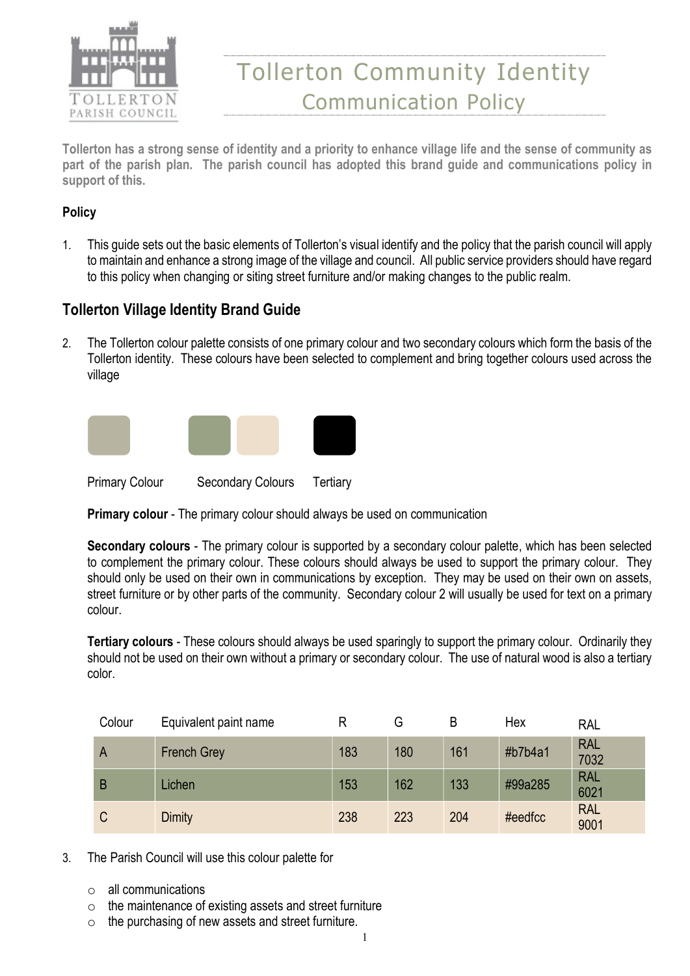

# Tollerton Community Identity Communication Policy

Tollerton has a strong sense of identity and a priority to enhance village life and the sense of community as part of the parish plan. The parish council has adopted this brand guide and communications policy in support of this.

#### **Policy**

1. This guide sets out the basic elements of Tollerton's visual identify and the policy that the parish council will apply to maintain and enhance a strong image of the village and council. All public service providers should have regard to this policy when changing or siting street furniture and/or making changes to the public realm.

#### Tollerton Village Identity Brand Guide

2. The Tollerton colour palette consists of one primary colour and two secondary colours which form the basis of the Tollerton identity. These colours have been selected to complement and bring together colours used across the village



Primary colour - The primary colour should always be used on communication

Secondary colours - The primary colour is supported by a secondary colour palette, which has been selected to complement the primary colour. These colours should always be used to support the primary colour. They should only be used on their own in communications by exception. They may be used on their own on assets, street furniture or by other parts of the community. Secondary colour 2 will usually be used for text on a primary colour.

Tertiary colours - These colours should always be used sparingly to support the primary colour. Ordinarily they should not be used on their own without a primary or secondary colour. The use of natural wood is also a tertiary color.

| Colour | Equivalent paint name |     | G   | B   | Hex     | <b>RAL</b>         |
|--------|-----------------------|-----|-----|-----|---------|--------------------|
| A      | <b>French Grey</b>    | 183 | 180 | 161 | #b7b4a1 | <b>RAL</b><br>7032 |
| B      | Lichen                | 153 | 162 | 133 | #99a285 | <b>RAL</b><br>6021 |
| C      | <b>Dimity</b>         | 238 | 223 | 204 | #eedfcc | <b>RAL</b><br>9001 |

- 3. The Parish Council will use this colour palette for
	- $\circ$  all communications
	- o the maintenance of existing assets and street furniture
	- o the purchasing of new assets and street furniture.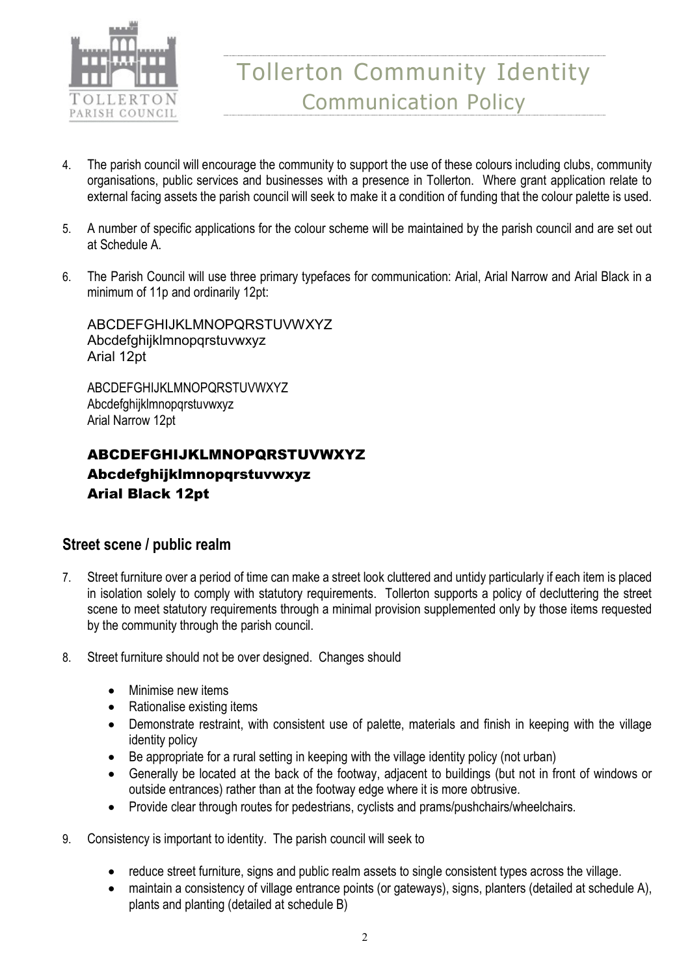

- 4. The parish council will encourage the community to support the use of these colours including clubs, community organisations, public services and businesses with a presence in Tollerton. Where grant application relate to external facing assets the parish council will seek to make it a condition of funding that the colour palette is used.
- 5. A number of specific applications for the colour scheme will be maintained by the parish council and are set out at Schedule A.
- 6. The Parish Council will use three primary typefaces for communication: Arial, Arial Narrow and Arial Black in a minimum of 11p and ordinarily 12pt:

ABCDEFGHIJKLMNOPQRSTUVWXYZ Abcdefghijklmnopqrstuvwxyz Arial 12pt

ABCDEFGHIJKLMNOPQRSTUVWXYZ Abcdefghijklmnopqrstuvwxyz Arial Narrow 12pt

# ABCDEFGHIJKLMNOPQRSTUVWXYZ Abcdefghijklmnopqrstuvwxyz Arial Black 12pt

#### Street scene / public realm

- 7. Street furniture over a period of time can make a street look cluttered and untidy particularly if each item is placed in isolation solely to comply with statutory requirements. Tollerton supports a policy of decluttering the street scene to meet statutory requirements through a minimal provision supplemented only by those items requested by the community through the parish council.
- 8. Street furniture should not be over designed. Changes should
	- Minimise new items
	- Rationalise existing items
	- Demonstrate restraint, with consistent use of palette, materials and finish in keeping with the village identity policy
	- Be appropriate for a rural setting in keeping with the village identity policy (not urban)
	- Generally be located at the back of the footway, adjacent to buildings (but not in front of windows or outside entrances) rather than at the footway edge where it is more obtrusive.
	- Provide clear through routes for pedestrians, cyclists and prams/pushchairs/wheelchairs.
- 9. Consistency is important to identity. The parish council will seek to
	- reduce street furniture, signs and public realm assets to single consistent types across the village.
	- maintain a consistency of village entrance points (or gateways), signs, planters (detailed at schedule A), plants and planting (detailed at schedule B)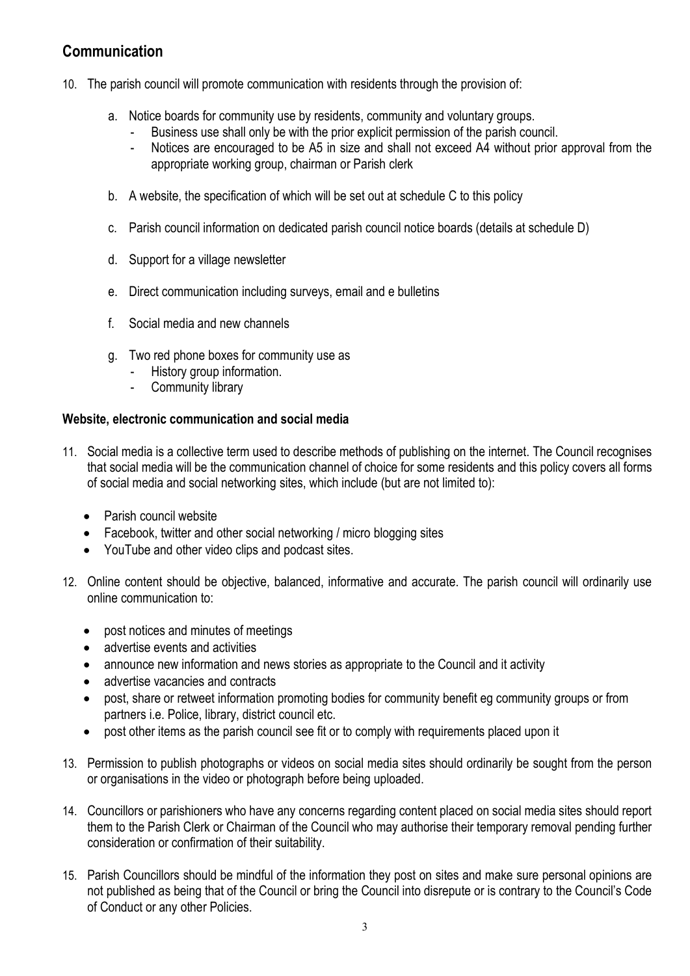### Communication

- 10. The parish council will promote communication with residents through the provision of:
	- a. Notice boards for community use by residents, community and voluntary groups.
		- Business use shall only be with the prior explicit permission of the parish council.
		- Notices are encouraged to be A5 in size and shall not exceed A4 without prior approval from the appropriate working group, chairman or Parish clerk
	- b. A website, the specification of which will be set out at schedule C to this policy
	- c. Parish council information on dedicated parish council notice boards (details at schedule D)
	- d. Support for a village newsletter
	- e. Direct communication including surveys, email and e bulletins
	- f. Social media and new channels
	- g. Two red phone boxes for community use as
		- History group information.
		- Community library

#### Website, electronic communication and social media

- 11. Social media is a collective term used to describe methods of publishing on the internet. The Council recognises that social media will be the communication channel of choice for some residents and this policy covers all forms of social media and social networking sites, which include (but are not limited to):
	- Parish council website
	- Facebook, twitter and other social networking / micro blogging sites
	- YouTube and other video clips and podcast sites.
- 12. Online content should be objective, balanced, informative and accurate. The parish council will ordinarily use online communication to:
	- post notices and minutes of meetings
	- advertise events and activities
	- announce new information and news stories as appropriate to the Council and it activity
	- advertise vacancies and contracts
	- post, share or retweet information promoting bodies for community benefit eg community groups or from partners i.e. Police, library, district council etc.
	- post other items as the parish council see fit or to comply with requirements placed upon it
- 13. Permission to publish photographs or videos on social media sites should ordinarily be sought from the person or organisations in the video or photograph before being uploaded.
- 14. Councillors or parishioners who have any concerns regarding content placed on social media sites should report them to the Parish Clerk or Chairman of the Council who may authorise their temporary removal pending further consideration or confirmation of their suitability.
- 15. Parish Councillors should be mindful of the information they post on sites and make sure personal opinions are not published as being that of the Council or bring the Council into disrepute or is contrary to the Council's Code of Conduct or any other Policies.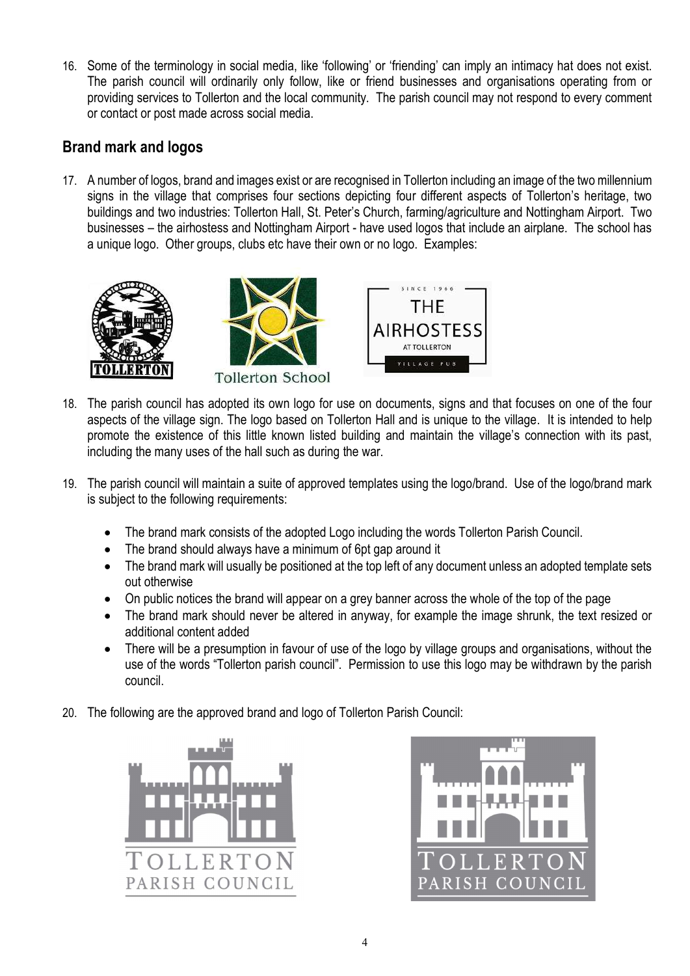16. Some of the terminology in social media, like 'following' or 'friending' can imply an intimacy hat does not exist. The parish council will ordinarily only follow, like or friend businesses and organisations operating from or providing services to Tollerton and the local community. The parish council may not respond to every comment or contact or post made across social media.

# Brand mark and logos

17. A number of logos, brand and images exist or are recognised in Tollerton including an image of the two millennium signs in the village that comprises four sections depicting four different aspects of Tollerton's heritage, two buildings and two industries: Tollerton Hall, St. Peter's Church, farming/agriculture and Nottingham Airport. Two businesses – the airhostess and Nottingham Airport - have used logos that include an airplane. The school has a unique logo. Other groups, clubs etc have their own or no logo. Examples:







- 18. The parish council has adopted its own logo for use on documents, signs and that focuses on one of the four aspects of the village sign. The logo based on Tollerton Hall and is unique to the village. It is intended to help promote the existence of this little known listed building and maintain the village's connection with its past, including the many uses of the hall such as during the war.
- 19. The parish council will maintain a suite of approved templates using the logo/brand. Use of the logo/brand mark is subject to the following requirements:
	- The brand mark consists of the adopted Logo including the words Tollerton Parish Council.
	- The brand should always have a minimum of 6pt gap around it
	- The brand mark will usually be positioned at the top left of any document unless an adopted template sets out otherwise
	- On public notices the brand will appear on a grey banner across the whole of the top of the page
	- The brand mark should never be altered in anyway, for example the image shrunk, the text resized or additional content added
	- There will be a presumption in favour of use of the logo by village groups and organisations, without the use of the words "Tollerton parish council". Permission to use this logo may be withdrawn by the parish council.
- 20. The following are the approved brand and logo of Tollerton Parish Council:



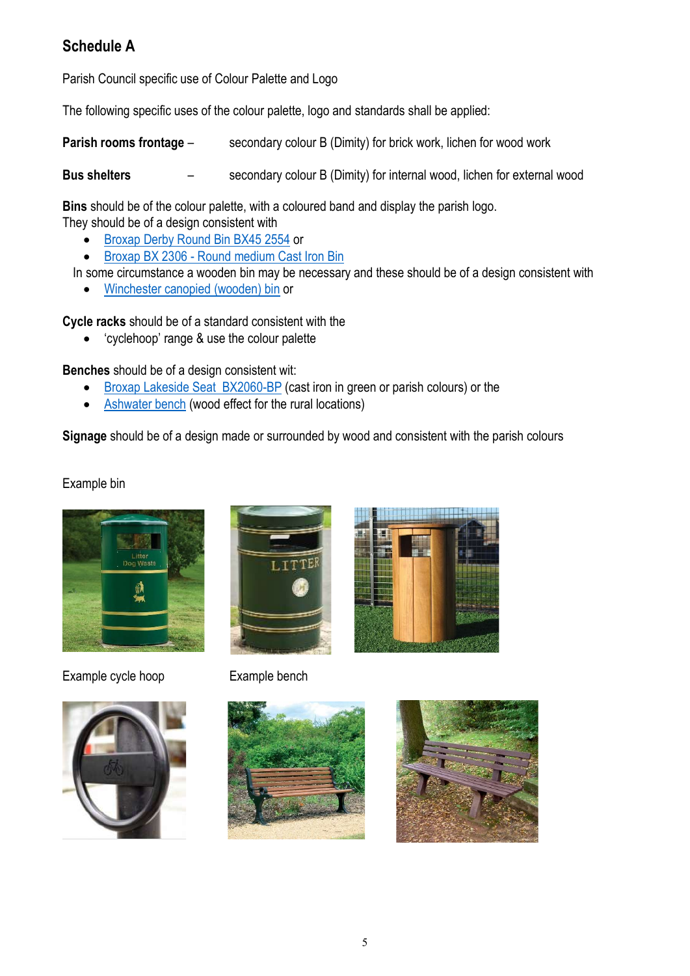# Schedule A

Parish Council specific use of Colour Palette and Logo

The following specific uses of the colour palette, logo and standards shall be applied:

Parish rooms frontage – secondary colour B (Dimity) for brick work, lichen for wood work

Bus shelters – secondary colour B (Dimity) for internal wood, lichen for external wood

Bins should be of the colour palette, with a coloured band and display the parish logo.

They should be of a design consistent with

- Broxap Derby Round Bin BX45 2554 or
- Broxap BX 2306 Round medium Cast Iron Bin

In some circumstance a wooden bin may be necessary and these should be of a design consistent with

Winchester canopied (wooden) bin or

Cycle racks should be of a standard consistent with the

'cyclehoop' range & use the colour palette

Benches should be of a design consistent wit:

- Broxap Lakeside Seat BX2060-BP (cast iron in green or parish colours) or the
- Ashwater bench (wood effect for the rural locations)

Signage should be of a design made or surrounded by wood and consistent with the parish colours

Example bin



Example cycle hoop Example bench









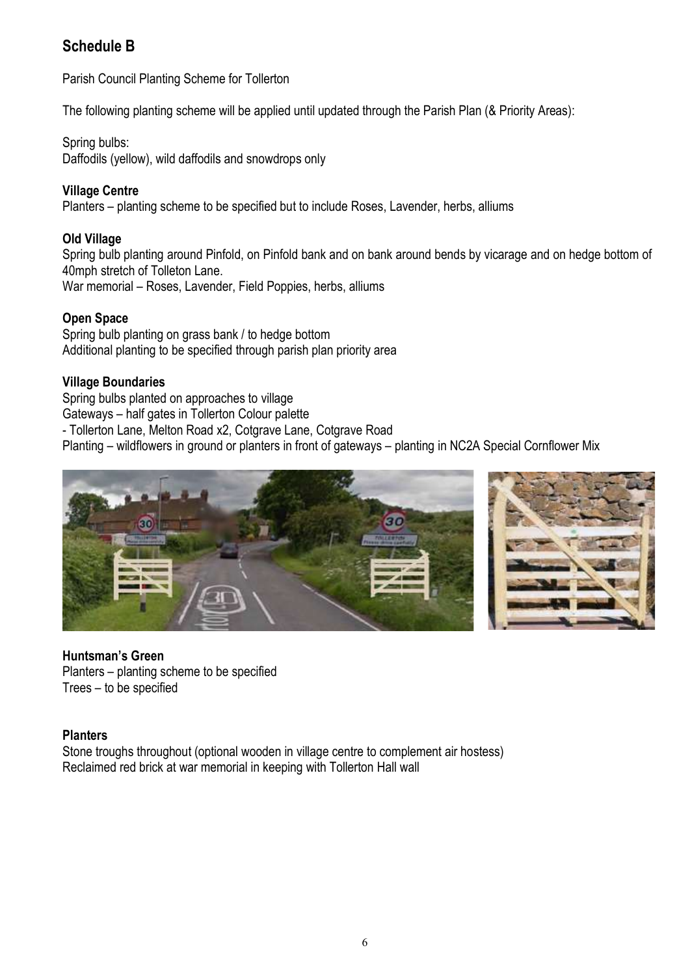# Schedule B

Parish Council Planting Scheme for Tollerton

The following planting scheme will be applied until updated through the Parish Plan (& Priority Areas):

Spring bulbs: Daffodils (yellow), wild daffodils and snowdrops only

#### Village Centre

Planters – planting scheme to be specified but to include Roses, Lavender, herbs, alliums

#### Old Village

Spring bulb planting around Pinfold, on Pinfold bank and on bank around bends by vicarage and on hedge bottom of 40mph stretch of Tolleton Lane. War memorial – Roses, Lavender, Field Poppies, herbs, alliums

#### Open Space

Spring bulb planting on grass bank / to hedge bottom Additional planting to be specified through parish plan priority area

#### Village Boundaries

Spring bulbs planted on approaches to village

Gateways – half gates in Tollerton Colour palette

- Tollerton Lane, Melton Road x2, Cotgrave Lane, Cotgrave Road

Planting – wildflowers in ground or planters in front of gateways – planting in NC2A Special Cornflower Mix





#### Huntsman's Green

Planters – planting scheme to be specified Trees – to be specified

#### **Planters**

Stone troughs throughout (optional wooden in village centre to complement air hostess) Reclaimed red brick at war memorial in keeping with Tollerton Hall wall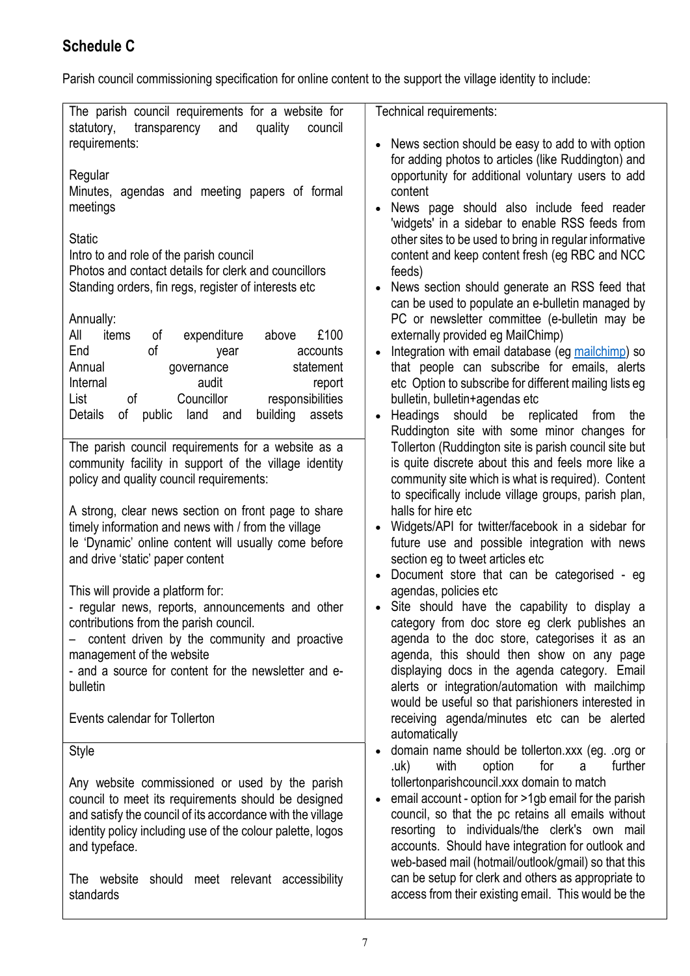# Schedule C

Parish council commissioning specification for online content to the support the village identity to include:

| The parish council requirements for a website for<br>statutory,<br>transparency<br>and<br>quality<br>council | Technical requirements:                                                                                         |
|--------------------------------------------------------------------------------------------------------------|-----------------------------------------------------------------------------------------------------------------|
| requirements:                                                                                                | News section should be easy to add to with option                                                               |
|                                                                                                              | for adding photos to articles (like Ruddington) and                                                             |
| Regular                                                                                                      | opportunity for additional voluntary users to add                                                               |
| Minutes, agendas and meeting papers of formal                                                                | content                                                                                                         |
| meetings                                                                                                     | News page should also include feed reader<br>'widgets' in a sidebar to enable RSS feeds from                    |
| <b>Static</b>                                                                                                | other sites to be used to bring in regular informative                                                          |
| Intro to and role of the parish council                                                                      | content and keep content fresh (eg RBC and NCC                                                                  |
| Photos and contact details for clerk and councillors                                                         | feeds)                                                                                                          |
| Standing orders, fin regs, register of interests etc                                                         | News section should generate an RSS feed that                                                                   |
|                                                                                                              | can be used to populate an e-bulletin managed by                                                                |
| Annually:                                                                                                    | PC or newsletter committee (e-bulletin may be                                                                   |
| All<br>£100<br>items<br>οf<br>expenditure<br>above<br>End<br>of<br>accounts                                  | externally provided eg MailChimp)<br>Integration with email database (eg mailchimp) so                          |
| year<br>Annual<br>governance<br>statement                                                                    | that people can subscribe for emails, alerts                                                                    |
| Internal<br>audit<br>report                                                                                  | etc Option to subscribe for different mailing lists eg                                                          |
| of<br>Councillor<br>responsibilities<br>List                                                                 | bulletin, bulletin+agendas etc                                                                                  |
| building<br><b>Details</b><br>of public<br>land<br>assets<br>and                                             | Headings<br>should<br>be replicated<br>from<br>the<br>$\bullet$                                                 |
|                                                                                                              | Ruddington site with some minor changes for                                                                     |
| The parish council requirements for a website as a                                                           | Tollerton (Ruddington site is parish council site but<br>is quite discrete about this and feels more like a     |
| community facility in support of the village identity<br>policy and quality council requirements:            | community site which is what is required). Content                                                              |
|                                                                                                              | to specifically include village groups, parish plan,                                                            |
| A strong, clear news section on front page to share                                                          | halls for hire etc                                                                                              |
| timely information and news with / from the village                                                          | Widgets/API for twitter/facebook in a sidebar for                                                               |
| le 'Dynamic' online content will usually come before                                                         | future use and possible integration with news                                                                   |
| and drive 'static' paper content                                                                             | section eg to tweet articles etc                                                                                |
| This will provide a platform for:                                                                            | Document store that can be categorised - eg<br>agendas, policies etc                                            |
| - regular news, reports, announcements and other                                                             | Site should have the capability to display a                                                                    |
| contributions from the parish council.                                                                       | category from doc store eg clerk publishes an                                                                   |
| content driven by the community and proactive                                                                | agenda to the doc store, categorises it as an                                                                   |
| management of the website                                                                                    | agenda, this should then show on any page                                                                       |
| - and a source for content for the newsletter and e-                                                         | displaying docs in the agenda category. Email                                                                   |
| bulletin                                                                                                     | alerts or integration/automation with mailchimp<br>would be useful so that parishioners interested in           |
| Events calendar for Tollerton                                                                                | receiving agenda/minutes etc can be alerted                                                                     |
|                                                                                                              | automatically                                                                                                   |
| Style                                                                                                        | domain name should be tollerton.xxx (eg. .org or                                                                |
|                                                                                                              | for<br>further<br>with<br>option<br>.uk)<br>a                                                                   |
| Any website commissioned or used by the parish<br>council to meet its requirements should be designed        | tollertonparishcouncil.xxx domain to match<br>email account - option for >1gb email for the parish<br>$\bullet$ |
| and satisfy the council of its accordance with the village                                                   | council, so that the pc retains all emails without                                                              |
| identity policy including use of the colour palette, logos                                                   | resorting to individuals/the clerk's own mail                                                                   |
| and typeface.                                                                                                | accounts. Should have integration for outlook and                                                               |
|                                                                                                              | web-based mail (hotmail/outlook/gmail) so that this                                                             |
| The website<br>should meet relevant accessibility                                                            | can be setup for clerk and others as appropriate to<br>access from their existing email. This would be the      |
| standards                                                                                                    |                                                                                                                 |